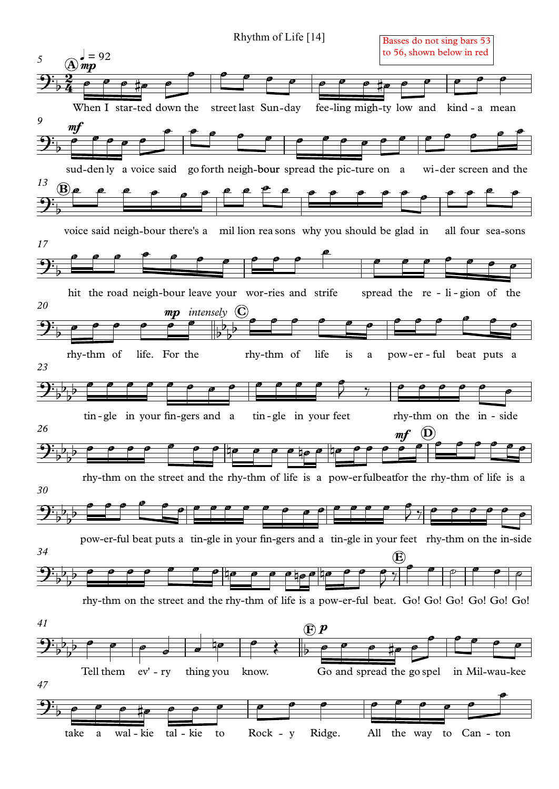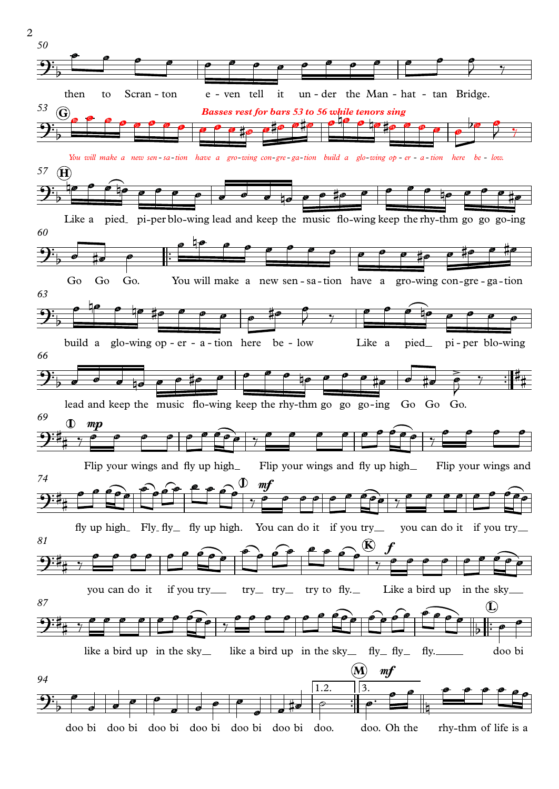